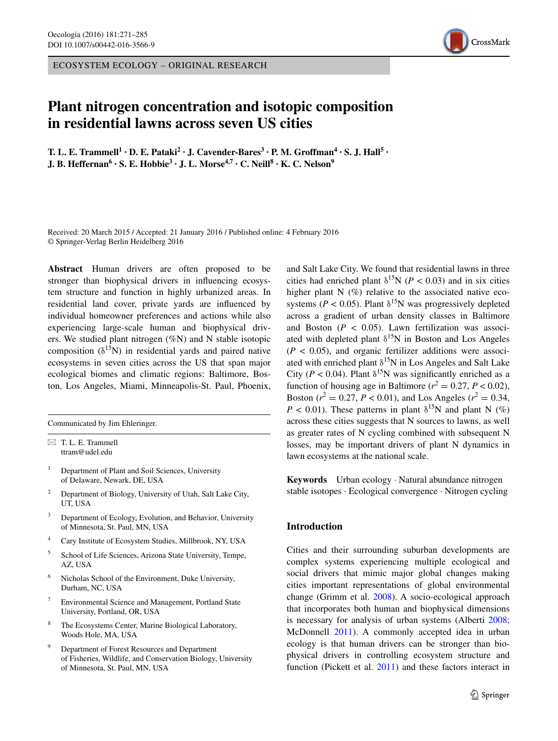ECOSYSTEM ECOLOGY – ORIGINAL RESEARCH



# **Plant nitrogen concentration and isotopic composition in residential lawns across seven US cities**

**T. L. E. Trammell**<sup>1</sup> **· D. E. Pataki<sup>2</sup> · J. Cavender-Bares<sup>3</sup> · P. M. Groffman<sup>4</sup> · S. J. Hall<sup>5</sup> · J. B. Heffernan<sup>6</sup> · S. E. Hobbie3 · J. L. Morse4,7 · C. Neill8 · K. C. Nelson9**

Received: 20 March 2015 / Accepted: 21 January 2016 / Published online: 4 February 2016 © Springer-Verlag Berlin Heidelberg 2016

**Abstract** Human drivers are often proposed to be stronger than biophysical drivers in influencing ecosystem structure and function in highly urbanized areas. In residential land cover, private yards are influenced by individual homeowner preferences and actions while also experiencing large-scale human and biophysical drivers. We studied plant nitrogen (%N) and N stable isotopic composition  $(\delta^{15}N)$  in residential yards and paired native ecosystems in seven cities across the US that span major ecological biomes and climatic regions: Baltimore, Boston, Los Angeles, Miami, Minneapolis-St. Paul, Phoenix,

Communicated by Jim Ehleringer.

 $\boxtimes$  T. L. E. Trammell ttram@udel.edu

- <sup>1</sup> Department of Plant and Soil Sciences, University of Delaware, Newark, DE, USA
- <sup>2</sup> Department of Biology, University of Utah, Salt Lake City, UT, USA
- <sup>3</sup> Department of Ecology, Evolution, and Behavior, University of Minnesota, St. Paul, MN, USA
- <sup>4</sup> Cary Institute of Ecosystem Studies, Millbrook, NY, USA
- <sup>5</sup> School of Life Sciences, Arizona State University, Tempe, AZ, USA
- <sup>6</sup> Nicholas School of the Environment, Duke University, Durham, NC, USA
- Environmental Science and Management, Portland State University, Portland, OR, USA
- <sup>8</sup> The Ecosystems Center, Marine Biological Laboratory, Woods Hole, MA, USA
- <sup>9</sup> Department of Forest Resources and Department of Fisheries, Wildlife, and Conservation Biology, University of Minnesota, St. Paul, MN, USA

and Salt Lake City. We found that residential lawns in three cities had enriched plant  $\delta^{15}N$  ( $P < 0.03$ ) and in six cities higher plant  $N$  (%) relative to the associated native ecosystems ( $P < 0.05$ ). Plant  $\delta^{15}$ N was progressively depleted across a gradient of urban density classes in Baltimore and Boston  $(P < 0.05)$ . Lawn fertilization was associated with depleted plant  $\delta^{15}N$  in Boston and Los Angeles  $(P < 0.05)$ , and organic fertilizer additions were associated with enriched plant  $\delta^{15}N$  in Los Angeles and Salt Lake City ( $P < 0.04$ ). Plant  $\delta^{15}$ N was significantly enriched as a function of housing age in Baltimore ( $r^2 = 0.27$ ,  $P < 0.02$ ), Boston ( $r^2 = 0.27$ ,  $P < 0.01$ ), and Los Angeles ( $r^2 = 0.34$ , *P* < 0.01). These patterns in plant  $\delta^{15}$ N and plant N (%) across these cities suggests that N sources to lawns, as well as greater rates of N cycling combined with subsequent N losses, may be important drivers of plant N dynamics in lawn ecosystems at the national scale.

**Keywords** Urban ecology · Natural abundance nitrogen stable isotopes · Ecological convergence · Nitrogen cycling

## **Introduction**

Cities and their surrounding suburban developments are complex systems experiencing multiple ecological and social drivers that mimic major global changes making cities important representations of global environmental change (Grimm et al. [2008](#page-13-0)). A socio-ecological approach that incorporates both human and biophysical dimensions is necessary for analysis of urban systems (Alberti [2008](#page-12-0); McDonnell [2011\)](#page-13-1). A commonly accepted idea in urban ecology is that human drivers can be stronger than biophysical drivers in controlling ecosystem structure and function (Pickett et al. [2011](#page-13-2)) and these factors interact in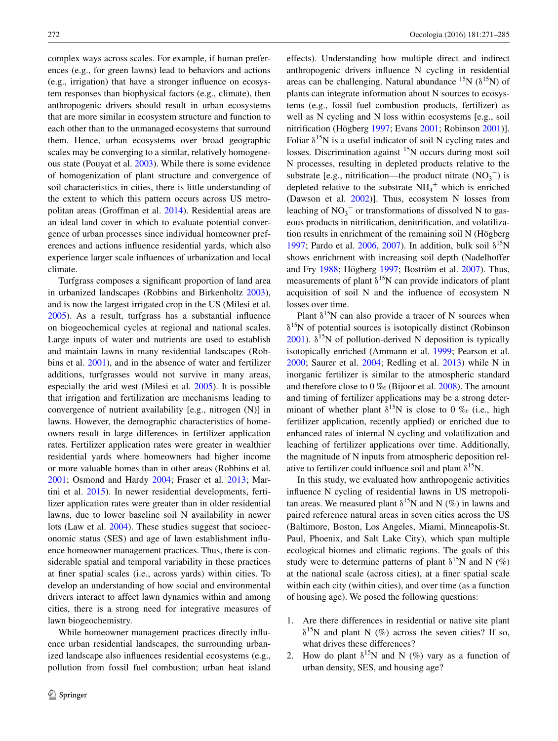complex ways across scales. For example, if human preferences (e.g., for green lawns) lead to behaviors and actions (e.g., irrigation) that have a stronger influence on ecosystem responses than biophysical factors (e.g., climate), then anthropogenic drivers should result in urban ecosystems that are more similar in ecosystem structure and function to each other than to the unmanaged ecosystems that surround them. Hence, urban ecosystems over broad geographic scales may be converging to a similar, relatively homogeneous state (Pouyat et al. [2003\)](#page-13-3). While there is some evidence of homogenization of plant structure and convergence of soil characteristics in cities, there is little understanding of the extent to which this pattern occurs across US metropolitan areas (Groffman et al. [2014\)](#page-13-4). Residential areas are an ideal land cover in which to evaluate potential convergence of urban processes since individual homeowner preferences and actions influence residential yards, which also experience larger scale influences of urbanization and local climate.

Turfgrass composes a significant proportion of land area in urbanized landscapes (Robbins and Birkenholtz [2003](#page-13-5)), and is now the largest irrigated crop in the US (Milesi et al. [2005](#page-13-6)). As a result, turfgrass has a substantial influence on biogeochemical cycles at regional and national scales. Large inputs of water and nutrients are used to establish and maintain lawns in many residential landscapes (Robbins et al. [2001\)](#page-13-7), and in the absence of water and fertilizer additions, turfgrasses would not survive in many areas, especially the arid west (Milesi et al. [2005](#page-13-6)). It is possible that irrigation and fertilization are mechanisms leading to convergence of nutrient availability [e.g., nitrogen (N)] in lawns. However, the demographic characteristics of homeowners result in large differences in fertilizer application rates. Fertilizer application rates were greater in wealthier residential yards where homeowners had higher income or more valuable homes than in other areas (Robbins et al. [2001](#page-13-7); Osmond and Hardy [2004;](#page-13-8) Fraser et al. [2013;](#page-12-1) Martini et al. [2015\)](#page-13-9). In newer residential developments, fertilizer application rates were greater than in older residential lawns, due to lower baseline soil N availability in newer lots (Law et al. [2004\)](#page-13-10). These studies suggest that socioeconomic status (SES) and age of lawn establishment influence homeowner management practices. Thus, there is considerable spatial and temporal variability in these practices at finer spatial scales (i.e., across yards) within cities. To develop an understanding of how social and environmental drivers interact to affect lawn dynamics within and among cities, there is a strong need for integrative measures of lawn biogeochemistry.

While homeowner management practices directly influence urban residential landscapes, the surrounding urbanized landscape also influences residential ecosystems (e.g., pollution from fossil fuel combustion; urban heat island effects). Understanding how multiple direct and indirect anthropogenic drivers influence N cycling in residential areas can be challenging. Natural abundance  ${}^{15}N$  ( $\delta {}^{15}N$ ) of plants can integrate information about N sources to ecosystems (e.g., fossil fuel combustion products, fertilizer) as well as N cycling and N loss within ecosystems [e.g., soil nitrification (Högberg [1997](#page-13-11); Evans [2001;](#page-12-2) Robinson [2001](#page-13-12))]. Foliar  $\delta^{15}N$  is a useful indicator of soil N cycling rates and losses. Discrimination against <sup>15</sup>N occurs during most soil N processes, resulting in depleted products relative to the substrate [e.g., nitrification—the product nitrate  $(NO<sub>3</sub><sup>-</sup>)$  is depleted relative to the substrate  $NH_4^+$  which is enriched (Dawson et al. [2002\)](#page-12-3)]. Thus, ecosystem N losses from leaching of  $NO_3^-$  or transformations of dissolved N to gaseous products in nitrification, denitrification, and volatilization results in enrichment of the remaining soil N (Högberg [1997](#page-13-11); Pardo et al. [2006](#page-13-13), [2007\)](#page-13-14). In addition, bulk soil  $\delta^{15}N$ shows enrichment with increasing soil depth (Nadelhoffer and Fry [1988](#page-13-15); Högberg [1997](#page-13-11); Boström et al. [2007\)](#page-12-4). Thus, measurements of plant  $\delta^{15}N$  can provide indicators of plant acquisition of soil N and the influence of ecosystem N losses over time.

Plant  $\delta^{15}N$  can also provide a tracer of N sources when  $\delta^{15}$ N of potential sources is isotopically distinct (Robinson [2001](#page-13-12)).  $\delta^{15}$ N of pollution-derived N deposition is typically isotopically enriched (Ammann et al. [1999](#page-12-5); Pearson et al. [2000](#page-13-16); Saurer et al. [2004;](#page-13-17) Redling et al. [2013\)](#page-13-18) while N in inorganic fertilizer is similar to the atmospheric standard and therefore close to 0 ‰ (Bijoor et al. [2008](#page-12-6)). The amount and timing of fertilizer applications may be a strong determinant of whether plant  $\delta^{15}N$  is close to 0 % (i.e., high fertilizer application, recently applied) or enriched due to enhanced rates of internal N cycling and volatilization and leaching of fertilizer applications over time. Additionally, the magnitude of N inputs from atmospheric deposition relative to fertilizer could influence soil and plant  $\delta^{15}N$ .

In this study, we evaluated how anthropogenic activities influence N cycling of residential lawns in US metropolitan areas. We measured plant  $\delta^{15}N$  and N (%) in lawns and paired reference natural areas in seven cities across the US (Baltimore, Boston, Los Angeles, Miami, Minneapolis-St. Paul, Phoenix, and Salt Lake City), which span multiple ecological biomes and climatic regions. The goals of this study were to determine patterns of plant  $\delta^{15}N$  and N (%) at the national scale (across cities), at a finer spatial scale within each city (within cities), and over time (as a function of housing age). We posed the following questions:

- 1. Are there differences in residential or native site plant  $\delta^{15}$ N and plant N (%) across the seven cities? If so, what drives these differences?
- 2. How do plant  $\delta^{15}N$  and N (%) vary as a function of urban density, SES, and housing age?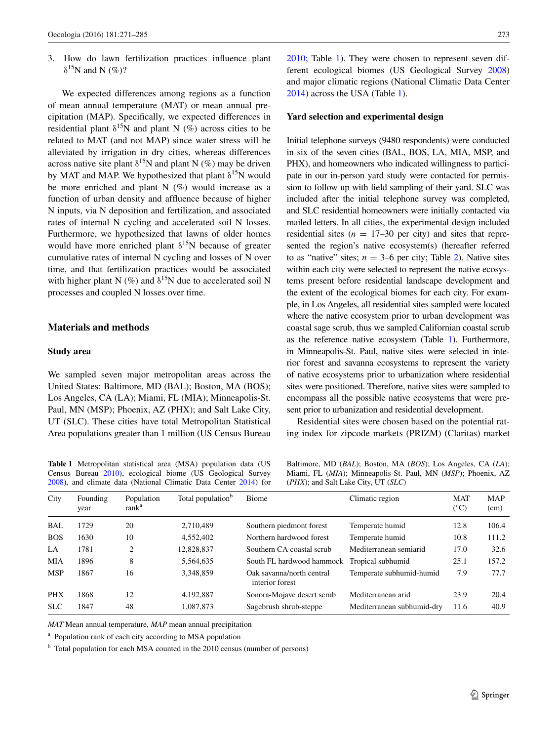3. How do lawn fertilization practices influence plant  $\delta^{15}$ N and N (%)?

 We expected differences among regions as a function of mean annual temperature (MAT) or mean annual precipitation (MAP). Specifically, we expected differences in residential plant  $\delta^{15}N$  and plant N (%) across cities to be related to MAT (and not MAP) since water stress will be alleviated by irrigation in dry cities, whereas differences across native site plant  $\delta^{15}N$  and plant N (%) may be driven by MAT and MAP. We hypothesized that plant  $\delta^{15}N$  would be more enriched and plant  $N$  (%) would increase as a function of urban density and affluence because of higher N inputs, via N deposition and fertilization, and associated rates of internal N cycling and accelerated soil N losses. Furthermore, we hypothesized that lawns of older homes would have more enriched plant  $\delta^{15}N$  because of greater cumulative rates of internal N cycling and losses of N over time, and that fertilization practices would be associated with higher plant N (%) and  $\delta^{15}N$  due to accelerated soil N processes and coupled N losses over time.

# **Materials and methods**

## **Study area**

We sampled seven major metropolitan areas across the United States: Baltimore, MD (BAL); Boston, MA (BOS); Los Angeles, CA (LA); Miami, FL (MIA); Minneapolis-St. Paul, MN (MSP); Phoenix, AZ (PHX); and Salt Lake City, UT (SLC). These cities have total Metropolitan Statistical Area populations greater than 1 million (US Census Bureau

<span id="page-2-0"></span>**Table 1** Metropolitan statistical area (MSA) population data (US Census Bureau [2010](#page-14-0)), ecological biome (US Geological Survey [2008](#page-14-1)), and climate data (National Climatic Data Center [2014\)](#page-13-19) for

[2010](#page-14-0); Table [1](#page-2-0)). They were chosen to represent seven different ecological biomes (US Geological Survey [2008\)](#page-14-1) and major climatic regions (National Climatic Data Center [2014](#page-13-19)) across the USA (Table [1](#page-2-0)).

#### **Yard selection and experimental design**

Initial telephone surveys (9480 respondents) were conducted in six of the seven cities (BAL, BOS, LA, MIA, MSP, and PHX), and homeowners who indicated willingness to participate in our in-person yard study were contacted for permission to follow up with field sampling of their yard. SLC was included after the initial telephone survey was completed, and SLC residential homeowners were initially contacted via mailed letters. In all cities, the experimental design included residential sites  $(n = 17-30$  per city) and sites that represented the region's native ecosystem(s) (hereafter referred to as "native" sites;  $n = 3{\text -}6$  per city; Table [2](#page-3-0)). Native sites within each city were selected to represent the native ecosystems present before residential landscape development and the extent of the ecological biomes for each city. For example, in Los Angeles, all residential sites sampled were located where the native ecosystem prior to urban development was coastal sage scrub, thus we sampled Californian coastal scrub as the reference native ecosystem (Table [1](#page-2-0)). Furthermore, in Minneapolis-St. Paul, native sites were selected in interior forest and savanna ecosystems to represent the variety of native ecosystems prior to urbanization where residential sites were positioned. Therefore, native sites were sampled to encompass all the possible native ecosystems that were present prior to urbanization and residential development.

Residential sites were chosen based on the potential rating index for zipcode markets (PRIZM) (Claritas) market

Baltimore, MD (*BAL*); Boston, MA (*BOS*); Los Angeles, CA (*LA*); Miami, FL (*MIA*); Minneapolis-St. Paul, MN (*MSP*); Phoenix, AZ (*PHX*); and Salt Lake City, UT (*SLC*)

| City       | Founding<br>year | Population<br>rank <sup>a</sup> | Total population <sup>b</sup> | Biome                                        | Climatic region            | <b>MAT</b><br>$(^{\circ}C)$ | <b>MAP</b><br>(cm) |
|------------|------------------|---------------------------------|-------------------------------|----------------------------------------------|----------------------------|-----------------------------|--------------------|
| <b>BAL</b> | 1729             | 20                              | 2,710,489                     | Southern piedmont forest                     | Temperate humid            | 12.8                        | 106.4              |
| <b>BOS</b> | 1630             | 10                              | 4,552,402                     | Northern hardwood forest                     | Temperate humid            | 10.8                        | 111.2              |
| LA         | 1781             | 2                               | 12,828,837                    | Southern CA coastal scrub                    | Mediterranean semiarid     | 17.0                        | 32.6               |
| MIA        | 1896             | 8                               | 5,564,635                     | South FL hardwood hammock                    | Tropical subhumid          | 25.1                        | 157.2              |
| <b>MSP</b> | 1867             | 16                              | 3,348,859                     | Oak savanna/north central<br>interior forest | Temperate subhumid-humid   | 7.9                         | 77.7               |
| <b>PHX</b> | 1868             | 12                              | 4,192,887                     | Sonora-Mojave desert scrub                   | Mediterranean arid         | 23.9                        | 20.4               |
| <b>SLC</b> | 1847             | 48                              | 1,087,873                     | Sagebrush shrub-steppe                       | Mediterranean subhumid-dry | 11.6                        | 40.9               |

*MAT* Mean annual temperature, *MAP* mean annual precipitation

<sup>a</sup> Population rank of each city according to MSA population

<sup>b</sup> Total population for each MSA counted in the 2010 census (number of persons)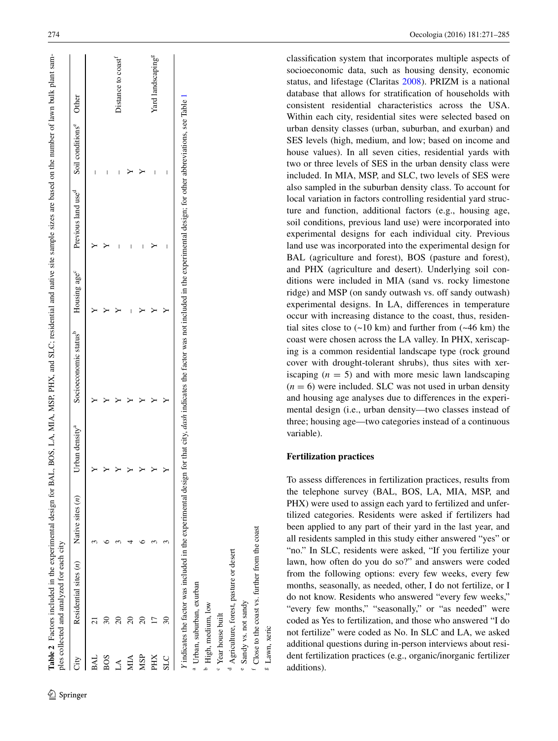| <b>RAL</b>     | Socioeconomic status <sup>®</sup> | Housing age <sup>c</sup> |                          | Previous land use <sup>d</sup> Soil conditions <sup>e</sup> Other |                               |
|----------------|-----------------------------------|--------------------------|--------------------------|-------------------------------------------------------------------|-------------------------------|
|                |                                   |                          |                          |                                                                   |                               |
| <b>BOS</b>     |                                   |                          |                          |                                                                   |                               |
| $\overline{A}$ |                                   |                          |                          |                                                                   | Distance to coast             |
| МIА            |                                   |                          |                          |                                                                   |                               |
| <b>MSP</b>     |                                   |                          | I                        |                                                                   |                               |
| <b>PHX</b>     |                                   |                          |                          | I                                                                 | Yard landscaping <sup>g</sup> |
| <b>SLC</b>     |                                   |                          | $\overline{\phantom{a}}$ | I                                                                 |                               |

<span id="page-3-0"></span>c

d

e

Sandy vs. not sandy

Sandy vs. not sandy

Close to the coast vs. further from the coast

Close to the coast vs. further from the coast

Lawn, xeric

Lawn, xeric

Agriculture, forest, pasture or desert

Agriculture, forest, pasture or desert

Year house built

Year house built

classification system that incorporates multiple aspects of socioeconomic data, such as housing density, economic status, and lifestage (Claritas [2008\)](#page-12-7). PRIZM is a national database that allows for stratification of households with consistent residential characteristics across the USA. Within each city, residential sites were selected based on urban density classes (urban, suburban, and exurban) and SES levels (high, medium, and low; based on income and house values). In all seven cities, residential yards with two or three levels of SES in the urban density class were included. In MIA, MSP, and SLC, two levels of SES were also sampled in the suburban density class. To account for local variation in factors controlling residential yard struc ture and function, additional factors (e.g., housing age, soil conditions, previous land use) were incorporated into experimental designs for each individual city. Previous land use was incorporated into the experimental design for BAL (agriculture and forest), BOS (pasture and forest), and PHX (agriculture and desert). Underlying soil con ditions were included in MIA (sand vs. rocky limestone ridge) and MSP (on sandy outwash vs. off sandy outwash) experimental designs. In LA, differences in temperature occur with increasing distance to the coast, thus, residen tial sites close to  $(-10 \text{ km})$  and further from  $(-46 \text{ km})$  the coast were chosen across the LA valley. In PHX, xeriscap ing is a common residential landscape type (rock ground cover with drought-tolerant shrubs), thus sites with xer iscaping  $(n = 5)$  and with more mesic lawn landscaping  $(n = 6)$  were included. SLC was not used in urban density and housing age analyses due to differences in the experi mental design (i.e., urban density—two classes instead of three; housing age—two categories instead of a continuous variable).

## **Fertilization practices**

To assess differences in fertilization practices, results from the telephone survey (BAL, BOS, LA, MIA, MSP, and PHX) were used to assign each yard to fertilized and unfertilized categories. Residents were asked if fertilizers had been applied to any part of their yard in the last year, and all residents sampled in this study either answered "yes" or "no." In SLC, residents were asked, "If you fertilize your lawn, how often do you do so?" and answers were coded from the following options: every few weeks, every few months, seasonally, as needed, other, I do not fertilize, or I do not know. Residents who answered "every few weeks," "every few months," "seasonally," or "as needed" were coded as Yes to fertilization, and those who answered "I do not fertilize" were coded as No. In SLC and LA, we asked additional questions during in-person interviews about resi dent fertilization practices (e.g., organic/inorganic fertilizer additions).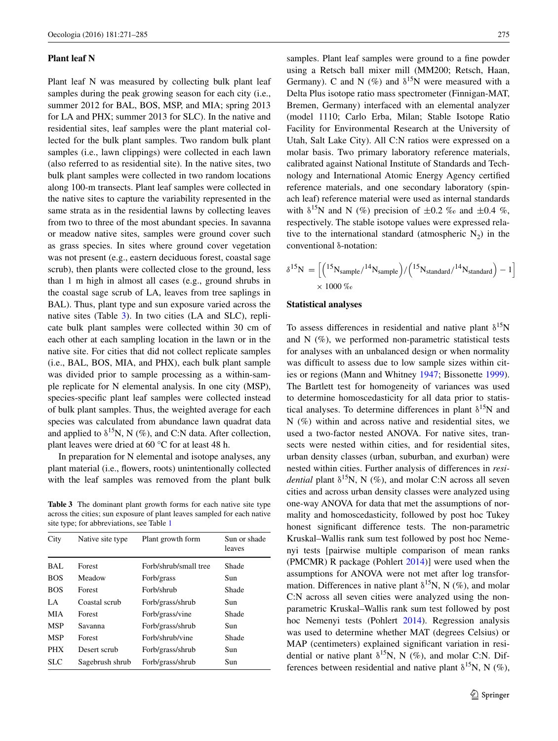#### **Plant leaf N**

Plant leaf N was measured by collecting bulk plant leaf samples during the peak growing season for each city (i.e., summer 2012 for BAL, BOS, MSP, and MIA; spring 2013 for LA and PHX; summer 2013 for SLC). In the native and residential sites, leaf samples were the plant material collected for the bulk plant samples. Two random bulk plant samples (i.e., lawn clippings) were collected in each lawn (also referred to as residential site). In the native sites, two bulk plant samples were collected in two random locations along 100-m transects. Plant leaf samples were collected in the native sites to capture the variability represented in the same strata as in the residential lawns by collecting leaves from two to three of the most abundant species. In savanna or meadow native sites, samples were ground cover such as grass species. In sites where ground cover vegetation was not present (e.g., eastern deciduous forest, coastal sage scrub), then plants were collected close to the ground, less than 1 m high in almost all cases (e.g., ground shrubs in the coastal sage scrub of LA, leaves from tree saplings in BAL). Thus, plant type and sun exposure varied across the native sites (Table [3\)](#page-4-0). In two cities (LA and SLC), replicate bulk plant samples were collected within 30 cm of each other at each sampling location in the lawn or in the native site. For cities that did not collect replicate samples (i.e., BAL, BOS, MIA, and PHX), each bulk plant sample was divided prior to sample processing as a within-sample replicate for N elemental analysis. In one city (MSP), species-specific plant leaf samples were collected instead of bulk plant samples. Thus, the weighted average for each species was calculated from abundance lawn quadrat data and applied to  $\delta^{15}N$ , N (%), and C:N data. After collection, plant leaves were dried at 60 °C for at least 48 h.

In preparation for N elemental and isotope analyses, any plant material (i.e., flowers, roots) unintentionally collected with the leaf samples was removed from the plant bulk

<span id="page-4-0"></span>**Table 3** The dominant plant growth forms for each native site type across the cities; sun exposure of plant leaves sampled for each native site type; for abbreviations, see Table [1](#page-2-0)

| City       | Native site type | Plant growth form     | Sun or shade<br>leaves |
|------------|------------------|-----------------------|------------------------|
| BAL        | Forest           | Forb/shrub/small tree | Shade                  |
| <b>BOS</b> | Meadow           | Forb/grass            | Sun                    |
| <b>BOS</b> | Forest           | Forb/shrub            | Shade                  |
| LA.        | Coastal scrub    | Forb/grass/shrub      | Sun                    |
| <b>MIA</b> | Forest           | Forb/grass/vine       | Shade                  |
| <b>MSP</b> | Savanna          | Forb/grass/shrub      | Sun                    |
| <b>MSP</b> | Forest           | Forb/shrub/vine       | Shade                  |
| <b>PHX</b> | Desert scrub     | Forb/grass/shrub      | Sun                    |
| SLC.       | Sagebrush shrub  | Forb/grass/shrub      | Sun                    |
|            |                  |                       |                        |

samples. Plant leaf samples were ground to a fine powder using a Retsch ball mixer mill (MM200; Retsch, Haan, Germany). C and N (%) and  $\delta^{15}N$  were measured with a Delta Plus isotope ratio mass spectrometer (Finnigan-MAT, Bremen, Germany) interfaced with an elemental analyzer (model 1110; Carlo Erba, Milan; Stable Isotope Ratio Facility for Environmental Research at the University of Utah, Salt Lake City). All C:N ratios were expressed on a molar basis. Two primary laboratory reference materials, calibrated against National Institute of Standards and Technology and International Atomic Energy Agency certified reference materials, and one secondary laboratory (spinach leaf) reference material were used as internal standards with  $\delta^{15}N$  and N (%) precision of  $\pm 0.2$  ‰ and  $\pm 0.4$  %, respectively. The stable isotope values were expressed relative to the international standard (atmospheric  $N_2$ ) in the conventional δ-notation:

$$
\delta^{15}N = \left[ \left( \frac{15}{N_{sample}} \right) / \left( \frac{15}{N_{standard}} / \frac{14}{N_{standard}} \right) - 1 \right]
$$
  
× 1000 %c

#### **Statistical analyses**

To assess differences in residential and native plant  $\delta^{15}N$ and N (%), we performed non-parametric statistical tests for analyses with an unbalanced design or when normality was difficult to assess due to low sample sizes within cities or regions (Mann and Whitney [1947;](#page-13-20) Bissonette [1999](#page-12-8)). The Bartlett test for homogeneity of variances was used to determine homoscedasticity for all data prior to statistical analyses. To determine differences in plant  $\delta^{15}N$  and N (%) within and across native and residential sites, we used a two-factor nested ANOVA. For native sites, transects were nested within cities, and for residential sites, urban density classes (urban, suburban, and exurban) were nested within cities. Further analysis of differences in *residential* plant  $\delta^{15}N$ , N (%), and molar C:N across all seven cities and across urban density classes were analyzed using one-way ANOVA for data that met the assumptions of normality and homoscedasticity, followed by post hoc Tukey honest significant difference tests. The non-parametric Kruskal–Wallis rank sum test followed by post hoc Nemenyi tests [pairwise multiple comparison of mean ranks (PMCMR) R package (Pohlert [2014\)](#page-13-21)] were used when the assumptions for ANOVA were not met after log transformation. Differences in native plant  $\delta^{15}N$ , N (%), and molar C:N across all seven cities were analyzed using the nonparametric Kruskal–Wallis rank sum test followed by post hoc Nemenyi tests (Pohlert [2014](#page-13-21)). Regression analysis was used to determine whether MAT (degrees Celsius) or MAP (centimeters) explained significant variation in residential or native plant  $\delta^{15}N$ , N (%), and molar C:N. Differences between residential and native plant  $\delta^{15}N$ , N (%),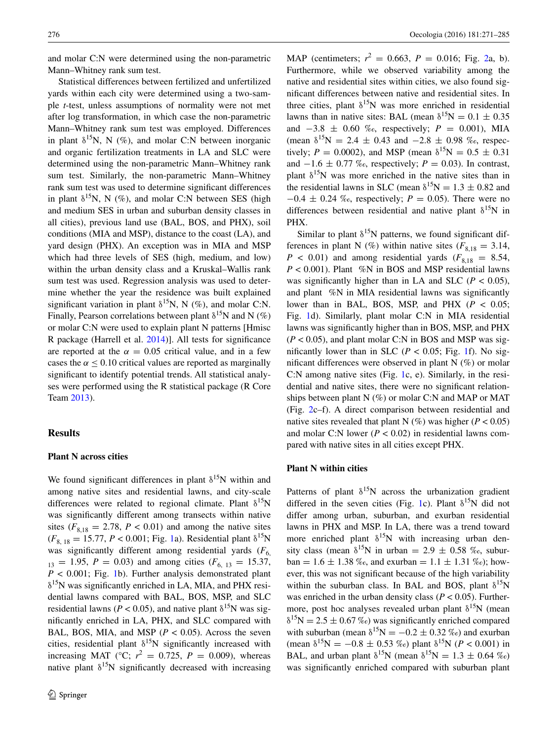and molar C:N were determined using the non-parametric Mann–Whitney rank sum test.

Statistical differences between fertilized and unfertilized yards within each city were determined using a two-sample *t*-test, unless assumptions of normality were not met after log transformation, in which case the non-parametric Mann–Whitney rank sum test was employed. Differences in plant  $\delta^{15}N$ , N (%), and molar C:N between inorganic and organic fertilization treatments in LA and SLC were determined using the non-parametric Mann–Whitney rank sum test. Similarly, the non-parametric Mann–Whitney rank sum test was used to determine significant differences in plant  $\delta^{15}N$ , N (%), and molar C:N between SES (high and medium SES in urban and suburban density classes in all cities), previous land use (BAL, BOS, and PHX), soil conditions (MIA and MSP), distance to the coast (LA), and yard design (PHX). An exception was in MIA and MSP which had three levels of SES (high, medium, and low) within the urban density class and a Kruskal–Wallis rank sum test was used. Regression analysis was used to determine whether the year the residence was built explained significant variation in plant  $\delta^{15}N$ , N (%), and molar C:N. Finally, Pearson correlations between plant  $\delta^{15}N$  and N (%) or molar C:N were used to explain plant N patterns [Hmisc R package (Harrell et al. [2014\)](#page-13-22)]. All tests for significance are reported at the  $\alpha = 0.05$  critical value, and in a few cases the  $\alpha \leq 0.10$  critical values are reported as marginally significant to identify potential trends. All statistical analyses were performed using the R statistical package (R Core Team [2013\)](#page-13-23).

## **Results**

#### **Plant N across cities**

We found significant differences in plant  $\delta^{15}N$  within and among native sites and residential lawns, and city-scale differences were related to regional climate. Plant  $\delta^{15}$ N was significantly different among transects within native sites  $(F_{8,18} = 2.78, P < 0.01)$  and among the native sites  $(F_{8, 18} = 15.77, P < 0.001;$  $(F_{8, 18} = 15.77, P < 0.001;$  $(F_{8, 18} = 15.77, P < 0.001;$  Fig. 1a). Residential plant  $\delta^{15}N$ was significantly different among residential yards  $(F<sub>6</sub>)$  $I_1 = 1.95, P = 0.03$ ) and among cities  $(F_{6, 13} = 15.37)$ ,  $P < 0.001$ ; Fig. [1b](#page-6-0)). Further analysis demonstrated plant  $\delta^{15}$ N was significantly enriched in LA, MIA, and PHX residential lawns compared with BAL, BOS, MSP, and SLC residential lawns ( $P < 0.05$ ), and native plant  $\delta^{15}$ N was significantly enriched in LA, PHX, and SLC compared with BAL, BOS, MIA, and MSP  $(P < 0.05)$ . Across the seven cities, residential plant  $\delta^{15}N$  significantly increased with increasing MAT (°C;  $r^2 = 0.725$ ,  $P = 0.009$ ), whereas native plant  $\delta^{15}N$  significantly decreased with increasing

MAP (centimeters;  $r^2 = 0.663$ ,  $P = 0.016$ ; Fig. [2a](#page-7-0), b). Furthermore, while we observed variability among the native and residential sites within cities, we also found significant differences between native and residential sites. In three cities, plant  $\delta^{15}N$  was more enriched in residential lawns than in native sites: BAL (mean  $\delta^{15}N = 0.1 \pm 0.35$ ) and  $-3.8 \pm 0.60$  ‰, respectively;  $P = 0.001$ ), MIA (mean  $\delta^{15}N = 2.4 \pm 0.43$  and  $-2.8 \pm 0.98$  ‰, respectively;  $P = 0.0002$ ), and MSP (mean  $\delta^{15}N = 0.5 \pm 0.31$ and  $-1.6 \pm 0.77$  ‰, respectively;  $P = 0.03$ ). In contrast, plant  $\delta^{15}$ N was more enriched in the native sites than in the residential lawns in SLC (mean  $\delta^{15}N = 1.3 \pm 0.82$  and  $-0.4 \pm 0.24$  ‰, respectively; *P* = 0.05). There were no differences between residential and native plant  $\delta^{15}N$  in PHX.

Similar to plant  $\delta^{15}N$  patterns, we found significant differences in plant N (%) within native sites  $(F_{8,18} = 3.14,$  $P < 0.01$ ) and among residential yards ( $F_{8,18} = 8.54$ , *P* < 0.001). Plant %N in BOS and MSP residential lawns was significantly higher than in LA and SLC  $(P < 0.05)$ , and plant %N in MIA residential lawns was significantly lower than in BAL, BOS, MSP, and PHX (*P* < 0.05; Fig. [1d](#page-6-0)). Similarly, plant molar C:N in MIA residential lawns was significantly higher than in BOS, MSP, and PHX  $(P < 0.05)$ , and plant molar C:N in BOS and MSP was significantly lower than in SLC ( $P < 0.05$ ; Fig. [1](#page-6-0)f). No significant differences were observed in plant N (%) or molar C:N among native sites (Fig. [1](#page-6-0)c, e). Similarly, in the residential and native sites, there were no significant relationships between plant N (%) or molar C:N and MAP or MAT (Fig. [2c](#page-7-0)–f). A direct comparison between residential and native sites revealed that plant N  $(\%)$  was higher ( $P < 0.05$ ) and molar C:N lower ( $P < 0.02$ ) in residential lawns compared with native sites in all cities except PHX.

## **Plant N within cities**

Patterns of plant  $\delta^{15}N$  across the urbanization gradient differed in the seven cities (Fig. [1c](#page-6-0)). Plant  $\delta^{15}N$  did not differ among urban, suburban, and exurban residential lawns in PHX and MSP. In LA, there was a trend toward more enriched plant  $\delta^{15}N$  with increasing urban density class (mean  $\delta^{15}N$  in urban = 2.9  $\pm$  0.58 ‰, suburban =  $1.6 \pm 1.38$  ‰, and exurban =  $1.1 \pm 1.31$  ‰); however, this was not significant because of the high variability within the suburban class. In BAL and BOS, plant  $\delta^{15}N$ was enriched in the urban density class (*P* < 0.05). Furthermore, post hoc analyses revealed urban plant  $\delta^{15}N$  (mean  $\delta^{15}N = 2.5 \pm 0.67 \%$  was significantly enriched compared with suburban (mean  $\delta^{15}N = -0.2 \pm 0.32$  ‰) and exurban (mean  $\delta^{15}N = -0.8 \pm 0.53$  ‰) plant  $\delta^{15}N$  (*P* < 0.001) in BAL, and urban plant  $\delta^{15}N$  (mean  $\delta^{15}N = 1.3 \pm 0.64 \%$ ) was significantly enriched compared with suburban plant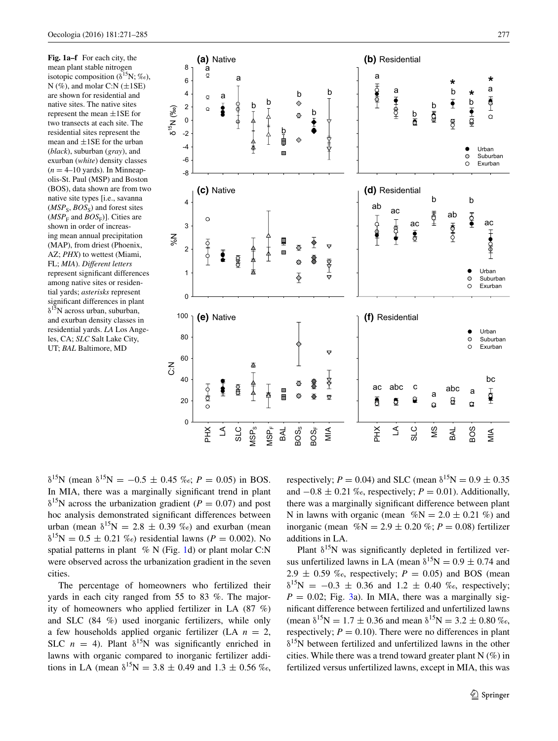<span id="page-6-0"></span>**Fig. 1a–f** For each city, the mean plant stable nitrogen isotopic composition ( $\delta^{15}N$ ; ‰),  $N$  (%), and molar C:N ( $\pm$ 1SE) are shown for residential and native sites. The native sites represent the mean ±1SE for two transects at each site. The residential sites represent the mean and ±1SE for the urban (*black*), suburban (*gray*), and exurban (*white*) density classes  $(n = 4-10$  yards). In Minneapolis-St. Paul (MSP) and Boston (BOS), data shown are from two native site types [i.e., savanna  $(MSP<sub>S</sub>, BOS<sub>S</sub>)$  and forest sites  $(MSP<sub>F</sub>$  and  $BOS<sub>F</sub>)$ . Cities are shown in order of increasing mean annual precipitation (MAP), from driest (Phoenix, AZ; *PHX*) to wettest (Miami, FL; *MIA*). *Different letters* represent significant differences among native sites or residential yards; *asterisks* represent significant differences in plant  $\delta^{15}$ N across urban, suburban, and exurban density classes in residential yards. *LA* Los Angeles, CA; *SLC* Salt Lake City, UT; *BAL* Baltimore, MD



 $\delta^{15}$ N (mean  $\delta^{15}$ N = -0.5 ± 0.45 %c; *P* = 0.05) in BOS. In MIA, there was a marginally significant trend in plant  $\delta^{15}$ N across the urbanization gradient (*P* = 0.07) and post hoc analysis demonstrated significant differences between urban (mean  $\delta^{15}N = 2.8 \pm 0.39$  %%) and exurban (mean  $\delta^{15}N = 0.5 \pm 0.21 \%$  residential lawns (*P* = 0.002). No spatial patterns in plant  $\%$  N (Fig. [1](#page-6-0)d) or plant molar C:N were observed across the urbanization gradient in the seven cities.

The percentage of homeowners who fertilized their yards in each city ranged from 55 to 83 %. The majority of homeowners who applied fertilizer in LA (87 %) and SLC (84 %) used inorganic fertilizers, while only a few households applied organic fertilizer (LA  $n = 2$ , SLC  $n = 4$ ). Plant  $\delta^{15}N$  was significantly enriched in lawns with organic compared to inorganic fertilizer additions in LA (mean  $\delta^{15}N = 3.8 \pm 0.49$  and  $1.3 \pm 0.56$  %. respectively;  $P = 0.04$ ) and SLC (mean  $\delta^{15}N = 0.9 \pm 0.35$ and  $-0.8 \pm 0.21$  ‰, respectively;  $P = 0.01$ ). Additionally, there was a marginally significant difference between plant N in lawns with organic (mean  $\%N = 2.0 \pm 0.21\%$ ) and inorganic (mean  $\%N = 2.9 \pm 0.20$  %;  $P = 0.08$ ) fertilizer additions in LA.

Plant  $\delta^{15}$ N was significantly depleted in fertilized versus unfertilized lawns in LA (mean  $\delta^{15}N = 0.9 \pm 0.74$  and  $2.9 \pm 0.59$  %<sub>o</sub>, respectively;  $P = 0.05$ ) and BOS (mean  $\delta^{15}N = -0.3 \pm 0.36$  and  $1.2 \pm 0.40$  ‰, respectively;  $P = 0.02$ ; Fig. [3](#page-8-0)a). In MIA, there was a marginally significant difference between fertilized and unfertilized lawns (mean  $\delta^{15}N = 1.7 \pm 0.36$  and mean  $\delta^{15}N = 3.2 \pm 0.80$  %. respectively;  $P = 0.10$ ). There were no differences in plant  $\delta^{15}$ N between fertilized and unfertilized lawns in the other cities. While there was a trend toward greater plant  $N$  (%) in fertilized versus unfertilized lawns, except in MIA, this was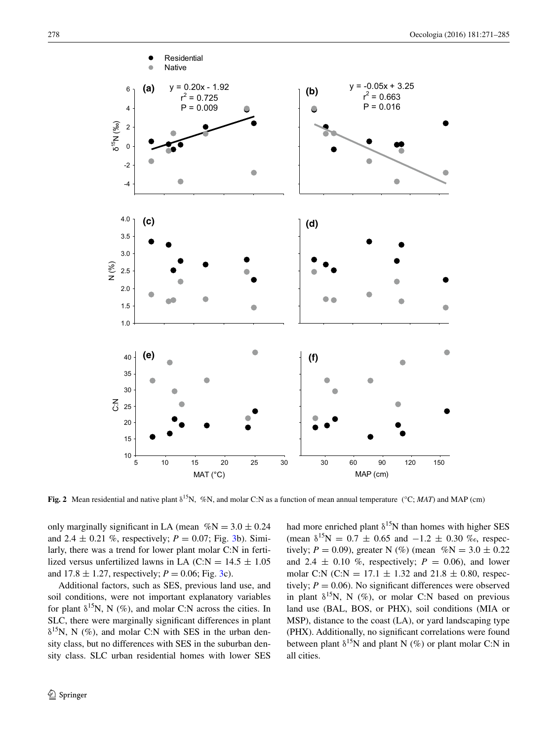

<span id="page-7-0"></span>**Fig. 2** Mean residential and native plant δ15N, %N, and molar C:N as a function of mean annual temperature (°C; *MAT*) and MAP (cm)

only marginally significant in LA (mean  $\%N = 3.0 \pm 0.24$ ) and 2.4  $\pm$  0.21 %, respectively; *P* = 0.07; Fig. [3b](#page-8-0)). Similarly, there was a trend for lower plant molar C:N in fertilized versus unfertilized lawns in LA (C:N =  $14.5 \pm 1.05$ ) and  $17.8 \pm 1.27$ , respectively;  $P = 0.06$ ; Fig. [3](#page-8-0)c).

Additional factors, such as SES, previous land use, and soil conditions, were not important explanatory variables for plant  $\delta^{15}N$ , N (%), and molar C:N across the cities. In SLC, there were marginally significant differences in plant  $\delta^{15}$ N, N (%), and molar C:N with SES in the urban density class, but no differences with SES in the suburban density class. SLC urban residential homes with lower SES had more enriched plant  $\delta^{15}N$  than homes with higher SES (mean  $\delta^{15}N = 0.7 \pm 0.65$  and  $-1.2 \pm 0.30$  ‰, respectively;  $P = 0.09$ ), greater N (%) (mean %N = 3.0  $\pm$  0.22 and 2.4  $\pm$  0.10 %, respectively;  $P = 0.06$ ), and lower molar C:N (C:N = 17.1  $\pm$  1.32 and 21.8  $\pm$  0.80, respectively;  $P = 0.06$ ). No significant differences were observed in plant  $\delta^{15}N$ , N (%), or molar C:N based on previous land use (BAL, BOS, or PHX), soil conditions (MIA or MSP), distance to the coast (LA), or yard landscaping type (PHX). Additionally, no significant correlations were found between plant  $\delta^{15}N$  and plant N (%) or plant molar C:N in all cities.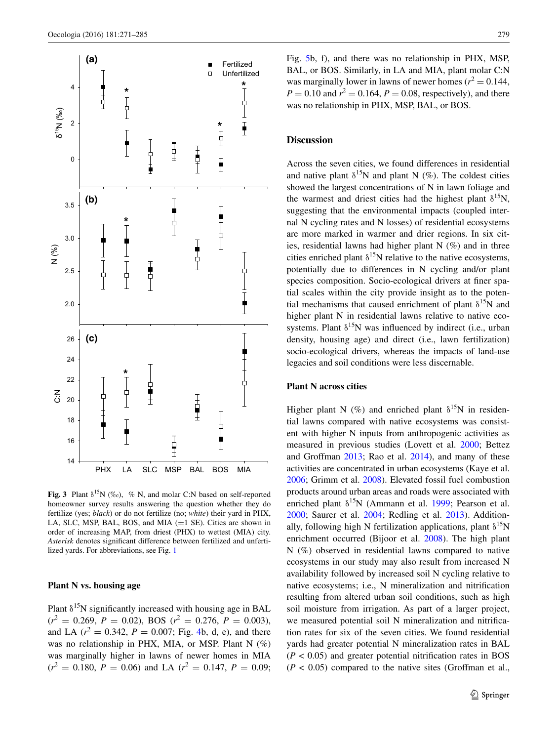

<span id="page-8-0"></span>**Fig. 3** Plant  $\delta^{15}N$  (‰), % N, and molar C:N based on self-reported homeowner survey results answering the question whether they do fertilize (yes; *black*) or do not fertilize (no; *white*) their yard in PHX, LA, SLC, MSP, BAL, BOS, and MIA  $(\pm 1$  SE). Cities are shown in order of increasing MAP, from driest (PHX) to wettest (MIA) city. *Asterisk* denotes significant difference between fertilized and unfertilized yards. For abbreviations, see Fig. [1](#page-6-0)

#### **Plant N vs. housing age**

Plant  $\delta^{15}N$  significantly increased with housing age in BAL  $(r^2 = 0.269, P = 0.02)$ , BOS  $(r^2 = 0.276, P = 0.003)$ , and LA  $(r^2 = 0.342, P = 0.007;$  Fig. [4b](#page-9-0), d, e), and there was no relationship in PHX, MIA, or MSP. Plant N (%) was marginally higher in lawns of newer homes in MIA  $(r^2 = 0.180, P = 0.06)$  and LA  $(r^2 = 0.147, P = 0.09;$  Fig. [5](#page-10-0)b, f), and there was no relationship in PHX, MSP, BAL, or BOS. Similarly, in LA and MIA, plant molar C:N was marginally lower in lawns of newer homes ( $r^2 = 0.144$ ,  $P = 0.10$  and  $r^2 = 0.164$ ,  $P = 0.08$ , respectively), and there was no relationship in PHX, MSP, BAL, or BOS.

# **Discussion**

Across the seven cities, we found differences in residential and native plant  $\delta^{15}N$  and plant N (%). The coldest cities showed the largest concentrations of N in lawn foliage and the warmest and driest cities had the highest plant  $\delta^{15}N$ , suggesting that the environmental impacts (coupled internal N cycling rates and N losses) of residential ecosystems are more marked in warmer and drier regions. In six cities, residential lawns had higher plant N (%) and in three cities enriched plant  $\delta^{15}N$  relative to the native ecosystems, potentially due to differences in N cycling and/or plant species composition. Socio-ecological drivers at finer spatial scales within the city provide insight as to the potential mechanisms that caused enrichment of plant  $\delta^{15}N$  and higher plant N in residential lawns relative to native ecosystems. Plant  $\delta^{15}N$  was influenced by indirect (i.e., urban density, housing age) and direct (i.e., lawn fertilization) socio-ecological drivers, whereas the impacts of land-use legacies and soil conditions were less discernable.

## **Plant N across cities**

Higher plant N (%) and enriched plant  $\delta^{15}N$  in residential lawns compared with native ecosystems was consistent with higher N inputs from anthropogenic activities as measured in previous studies (Lovett et al. [2000](#page-13-24); Bettez and Groffman [2013](#page-12-9); Rao et al. [2014](#page-13-25)), and many of these activities are concentrated in urban ecosystems (Kaye et al. [2006](#page-13-26); Grimm et al. [2008](#page-13-0)). Elevated fossil fuel combustion products around urban areas and roads were associated with enriched plant  $\delta^{15}N$  (Ammann et al. [1999;](#page-12-5) Pearson et al. [2000](#page-13-16); Saurer et al. [2004](#page-13-17); Redling et al. [2013\)](#page-13-18). Additionally, following high N fertilization applications, plant  $\delta^{15}N$ enrichment occurred (Bijoor et al. [2008\)](#page-12-6). The high plant N (%) observed in residential lawns compared to native ecosystems in our study may also result from increased N availability followed by increased soil N cycling relative to native ecosystems; i.e., N mineralization and nitrification resulting from altered urban soil conditions, such as high soil moisture from irrigation. As part of a larger project, we measured potential soil N mineralization and nitrification rates for six of the seven cities. We found residential yards had greater potential N mineralization rates in BAL  $(P < 0.05)$  and greater potential nitrification rates in BOS  $(P < 0.05)$  compared to the native sites (Groffman et al.,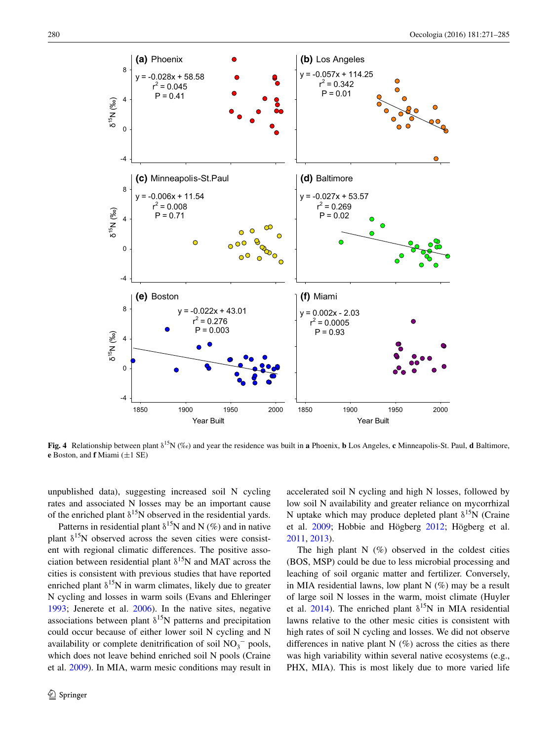

<span id="page-9-0"></span>**Fig. 4** Relationship between plant δ15N (‰) and year the residence was built in **a** Phoenix, **b** Los Angeles, **c** Minneapolis-St. Paul, **d** Baltimore, **e** Boston, and **f** Miami (±1 SE)

unpublished data), suggesting increased soil N cycling rates and associated N losses may be an important cause of the enriched plant  $\delta^{15}N$  observed in the residential yards.

Patterns in residential plant  $\delta^{15}N$  and N (%) and in native plant  $\delta^{15}$ N observed across the seven cities were consistent with regional climatic differences. The positive association between residential plant  $\delta^{15}N$  and MAT across the cities is consistent with previous studies that have reported enriched plant  $\delta^{15}N$  in warm climates, likely due to greater N cycling and losses in warm soils (Evans and Ehleringer [1993](#page-12-10); Jenerete et al. [2006](#page-13-27)). In the native sites, negative associations between plant  $\delta^{15}N$  patterns and precipitation could occur because of either lower soil N cycling and N availability or complete denitrification of soil  $NO<sub>3</sub><sup>-</sup>$  pools, which does not leave behind enriched soil N pools (Craine et al. [2009](#page-12-11)). In MIA, warm mesic conditions may result in

accelerated soil N cycling and high N losses, followed by low soil N availability and greater reliance on mycorrhizal N uptake which may produce depleted plant  $\delta^{15}N$  (Craine et al. [2009](#page-12-11); Hobbie and Högberg [2012;](#page-13-28) Högberg et al. [2011](#page-13-29), [2013](#page-13-30)).

The high plant  $N$  (%) observed in the coldest cities (BOS, MSP) could be due to less microbial processing and leaching of soil organic matter and fertilizer. Conversely, in MIA residential lawns, low plant N  $(\%)$  may be a result of large soil N losses in the warm, moist climate (Huyler et al. [2014\)](#page-13-31). The enriched plant  $\delta^{15}N$  in MIA residential lawns relative to the other mesic cities is consistent with high rates of soil N cycling and losses. We did not observe differences in native plant N  $(\%)$  across the cities as there was high variability within several native ecosystems (e.g., PHX, MIA). This is most likely due to more varied life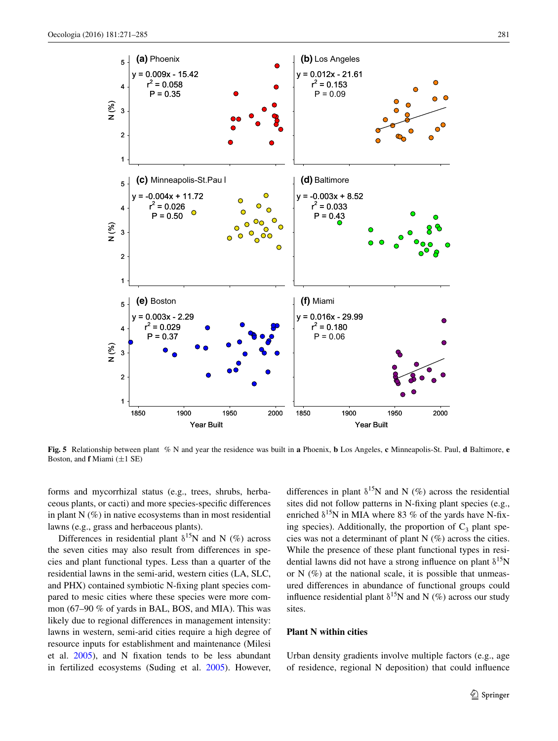

<span id="page-10-0"></span>**Fig. 5** Relationship between plant % N and year the residence was built in **a** Phoenix, **b** Los Angeles, **c** Minneapolis-St. Paul, **d** Baltimore, **e** Boston, and **f** Miami (±1 SE)

forms and mycorrhizal status (e.g., trees, shrubs, herbaceous plants, or cacti) and more species-specific differences in plant  $N$  (%) in native ecosystems than in most residential lawns (e.g., grass and herbaceous plants).

Differences in residential plant  $\delta^{15}N$  and N (%) across the seven cities may also result from differences in species and plant functional types. Less than a quarter of the residential lawns in the semi-arid, western cities (LA, SLC, and PHX) contained symbiotic N-fixing plant species compared to mesic cities where these species were more common (67–90 % of yards in BAL, BOS, and MIA). This was likely due to regional differences in management intensity: lawns in western, semi-arid cities require a high degree of resource inputs for establishment and maintenance (Milesi et al. [2005\)](#page-13-6), and N fixation tends to be less abundant in fertilized ecosystems (Suding et al. [2005](#page-14-2)). However, differences in plant  $\delta^{15}N$  and N (%) across the residential sites did not follow patterns in N-fixing plant species (e.g., enriched  $\delta^{15}N$  in MIA where 83 % of the yards have N-fixing species). Additionally, the proportion of  $C_3$  plant species was not a determinant of plant N (%) across the cities. While the presence of these plant functional types in residential lawns did not have a strong influence on plant  $\delta^{15}N$ or  $N$  (%) at the national scale, it is possible that unmeasured differences in abundance of functional groups could influence residential plant  $\delta^{15}N$  and N (%) across our study sites.

## **Plant N within cities**

Urban density gradients involve multiple factors (e.g., age of residence, regional N deposition) that could influence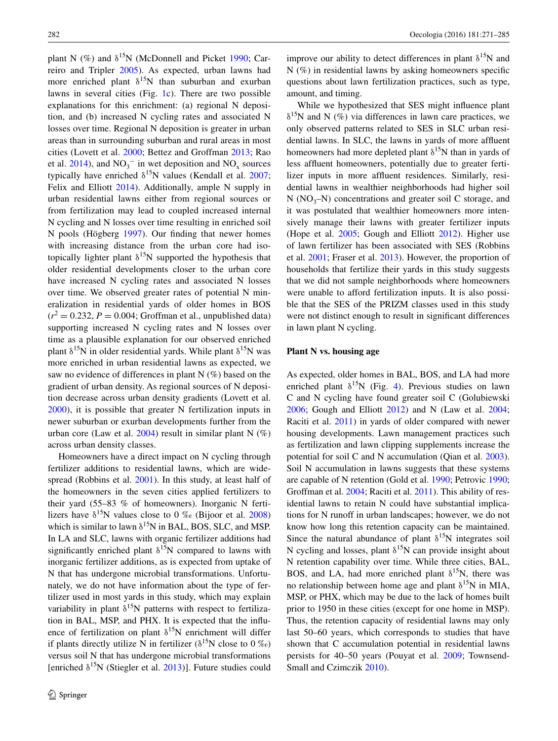plant N (%) and  $\delta^{15}N$  (McDonnell and Picket [1990](#page-13-32); Carreiro and Tripler [2005\)](#page-12-12). As expected, urban lawns had more enriched plant  $\delta^{15}N$  than suburban and exurban lawns in several cities (Fig. [1c](#page-6-0)). There are two possible explanations for this enrichment: (a) regional N deposition, and (b) increased N cycling rates and associated N losses over time. Regional N deposition is greater in urban areas than in surrounding suburban and rural areas in most cities (Lovett et al. [2000;](#page-13-24) Bettez and Groffman [2013](#page-12-9); Rao et al. [2014](#page-13-25)), and  $NO_3^-$  in wet deposition and  $NO_x$  sources typically have enriched  $\delta^{15}N$  values (Kendall et al. [2007](#page-13-33); Felix and Elliott [2014\)](#page-12-13). Additionally, ample N supply in urban residential lawns either from regional sources or from fertilization may lead to coupled increased internal N cycling and N losses over time resulting in enriched soil N pools (Högberg [1997\)](#page-13-11). Our finding that newer homes with increasing distance from the urban core had isotopically lighter plant  $\delta^{15}N$  supported the hypothesis that older residential developments closer to the urban core have increased N cycling rates and associated N losses over time. We observed greater rates of potential N mineralization in residential yards of older homes in BOS  $(r^2 = 0.232, P = 0.004;$  Groffman et al., unpublished data) supporting increased N cycling rates and N losses over time as a plausible explanation for our observed enriched plant  $\delta^{15}N$  in older residential yards. While plant  $\delta^{15}N$  was more enriched in urban residential lawns as expected, we saw no evidence of differences in plant N (%) based on the gradient of urban density. As regional sources of N deposition decrease across urban density gradients (Lovett et al. [2000](#page-13-24)), it is possible that greater N fertilization inputs in newer suburban or exurban developments further from the urban core (Law et al.  $2004$ ) result in similar plant N  $(\%)$ across urban density classes.

Homeowners have a direct impact on N cycling through fertilizer additions to residential lawns, which are widespread (Robbins et al. [2001](#page-13-7)). In this study, at least half of the homeowners in the seven cities applied fertilizers to their yard (55–83 % of homeowners). Inorganic N fertilizers have  $\delta^{15}N$  values close to 0 ‰ (Bijoor et al. [2008\)](#page-12-6) which is similar to lawn  $\delta^{15}N$  in BAL, BOS, SLC, and MSP. In LA and SLC, lawns with organic fertilizer additions had significantly enriched plant  $\delta^{15}N$  compared to lawns with inorganic fertilizer additions, as is expected from uptake of N that has undergone microbial transformations. Unfortunately, we do not have information about the type of fertilizer used in most yards in this study, which may explain variability in plant  $\delta^{15}N$  patterns with respect to fertilization in BAL, MSP, and PHX. It is expected that the influence of fertilization on plant  $\delta^{15}N$  enrichment will differ if plants directly utilize N in fertilizer ( $\delta^{15}$ N close to 0 ‰) versus soil N that has undergone microbial transformations [enriched  $\delta^{15}N$  (Stiegler et al. [2013](#page-14-3))]. Future studies could improve our ability to detect differences in plant  $\delta^{15}N$  and  $N$  (%) in residential lawns by asking homeowners specific questions about lawn fertilization practices, such as type, amount, and timing.

While we hypothesized that SES might influence plant  $\delta^{15}$ N and N (%) via differences in lawn care practices, we only observed patterns related to SES in SLC urban residential lawns. In SLC, the lawns in yards of more affluent homeowners had more depleted plant  $\delta^{15}N$  than in yards of less affluent homeowners, potentially due to greater fertilizer inputs in more affluent residences. Similarly, residential lawns in wealthier neighborhoods had higher soil N ( $NO<sub>3</sub>–N$ ) concentrations and greater soil C storage, and it was postulated that wealthier homeowners more intensively manage their lawns with greater fertilizer inputs (Hope et al. [2005](#page-13-34); Gough and Elliott [2012](#page-12-14)). Higher use of lawn fertilizer has been associated with SES (Robbins et al. [2001](#page-13-7); Fraser et al. [2013\)](#page-12-1). However, the proportion of households that fertilize their yards in this study suggests that we did not sample neighborhoods where homeowners were unable to afford fertilization inputs. It is also possible that the SES of the PRIZM classes used in this study were not distinct enough to result in significant differences in lawn plant N cycling.

## **Plant N vs. housing age**

As expected, older homes in BAL, BOS, and LA had more enriched plant  $\delta^{15}N$  (Fig. [4\)](#page-9-0). Previous studies on lawn C and N cycling have found greater soil C (Golubiewski [2006](#page-12-15); Gough and Elliott [2012\)](#page-12-14) and N (Law et al. [2004](#page-13-10); Raciti et al. [2011](#page-13-35)) in yards of older compared with newer housing developments. Lawn management practices such as fertilization and lawn clipping supplements increase the potential for soil C and N accumulation (Qian et al. [2003](#page-13-36)). Soil N accumulation in lawns suggests that these systems are capable of N retention (Gold et al. [1990](#page-12-16); Petrovic [1990](#page-13-37); Groffman et al. [2004](#page-13-38); Raciti et al. [2011](#page-13-35)). This ability of residential lawns to retain N could have substantial implications for N runoff in urban landscapes; however, we do not know how long this retention capacity can be maintained. Since the natural abundance of plant  $\delta^{15}N$  integrates soil N cycling and losses, plant  $\delta^{15}N$  can provide insight about N retention capability over time. While three cities, BAL, BOS, and LA, had more enriched plant  $\delta^{15}N$ , there was no relationship between home age and plant  $\delta^{15}N$  in MIA, MSP, or PHX, which may be due to the lack of homes built prior to 1950 in these cities (except for one home in MSP). Thus, the retention capacity of residential lawns may only last 50–60 years, which corresponds to studies that have shown that C accumulation potential in residential lawns persists for 40–50 years (Pouyat et al. [2009](#page-13-39); Townsend-Small and Czimczik [2010\)](#page-14-4).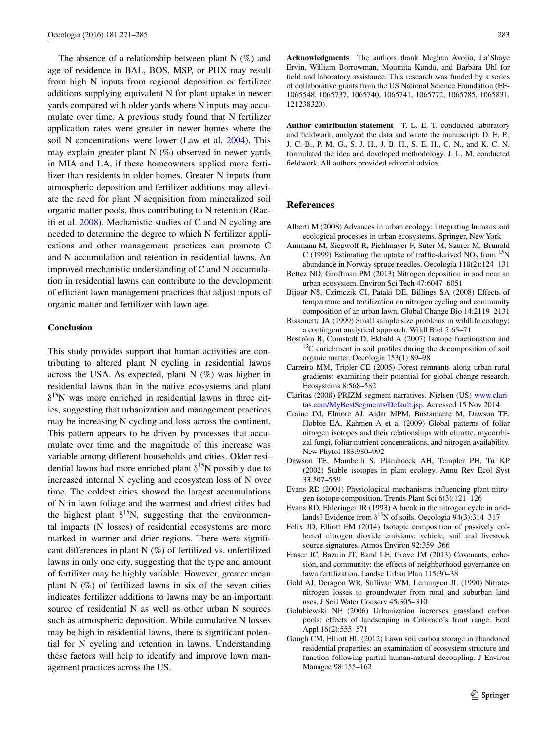The absence of a relationship between plant N  $(\%)$  and age of residence in BAL, BOS, MSP, or PHX may result from high N inputs from regional deposition or fertilizer additions supplying equivalent N for plant uptake in newer yards compared with older yards where N inputs may accumulate over time. A previous study found that N fertilizer application rates were greater in newer homes where the soil N concentrations were lower (Law et al. [2004\)](#page-13-10). This may explain greater plant N (%) observed in newer yards in MIA and LA, if these homeowners applied more fertilizer than residents in older homes. Greater N inputs from atmospheric deposition and fertilizer additions may alleviate the need for plant N acquisition from mineralized soil organic matter pools, thus contributing to N retention (Raciti et al. [2008](#page-13-40)). Mechanistic studies of C and N cycling are needed to determine the degree to which N fertilizer applications and other management practices can promote C and N accumulation and retention in residential lawns. An improved mechanistic understanding of C and N accumulation in residential lawns can contribute to the development of efficient lawn management practices that adjust inputs of organic matter and fertilizer with lawn age.

## **Conclusion**

This study provides support that human activities are contributing to altered plant N cycling in residential lawns across the USA. As expected, plant  $N$  (%) was higher in residential lawns than in the native ecosystems and plant  $\delta^{15}$ N was more enriched in residential lawns in three cities, suggesting that urbanization and management practices may be increasing N cycling and loss across the continent. This pattern appears to be driven by processes that accumulate over time and the magnitude of this increase was variable among different households and cities. Older residential lawns had more enriched plant  $\delta^{15}N$  possibly due to increased internal N cycling and ecosystem loss of N over time. The coldest cities showed the largest accumulations of N in lawn foliage and the warmest and driest cities had the highest plant  $\delta^{15}N$ , suggesting that the environmental impacts (N losses) of residential ecosystems are more marked in warmer and drier regions. There were significant differences in plant N (%) of fertilized vs. unfertilized lawns in only one city, suggesting that the type and amount of fertilizer may be highly variable. However, greater mean plant  $N$  (%) of fertilized lawns in six of the seven cities indicates fertilizer additions to lawns may be an important source of residential N as well as other urban N sources such as atmospheric deposition. While cumulative N losses may be high in residential lawns, there is significant potential for N cycling and retention in lawns. Understanding these factors will help to identify and improve lawn management practices across the US.

**Acknowledgments** The authors thank Meghan Avolio, La'Shaye Ervin, William Borrowman, Moumita Kundu, and Barbara Uhl for field and laboratory assistance. This research was funded by a series of collaborative grants from the US National Science Foundation (EF-1065548, 1065737, 1065740, 1065741, 1065772, 1065785, 1065831, 121238320).

**Author contribution statement** T. L. E. T. conducted laboratory and fieldwork, analyzed the data and wrote the manuscript. D. E. P., J. C.-B., P. M. G., S. J. H., J. B. H., S. E. H., C. N., and K. C. N. formulated the idea and developed methodology. J. L. M. conducted fieldwork. All authors provided editorial advice.

# **References**

- <span id="page-12-0"></span>Alberti M (2008) Advances in urban ecology: integrating humans and ecological processes in urban ecosystems. Springer, New York
- <span id="page-12-5"></span>Ammann M, Siegwolf R, Pichlmayer F, Suter M, Saurer M, Brunold C (1999) Estimating the uptake of traffic-derived  $NO<sub>2</sub>$  from  $15N$ abundance in Norway spruce needles. Oecologia 118(2):124–131
- <span id="page-12-9"></span>Bettez ND, Groffman PM (2013) Nitrogen deposition in and near an urban ecosystem. Environ Sci Tech 47:6047–6051
- <span id="page-12-6"></span>Bijoor NS, Czimczik CI, Pataki DE, Billings SA (2008) Effects of temperature and fertilization on nitrogen cycling and community composition of an urban lawn. Global Change Bio 14:2119–2131
- <span id="page-12-8"></span>Bissonette JA (1999) Small sample size problems in wildlife ecology: a contingent analytical approach. Wildl Biol 5:65–71
- <span id="page-12-4"></span>Boström B, Comstedt D, Ekbald A (2007) Isotope fractionation and <sup>13</sup>C enrichment in soil profiles during the decomposition of soil organic matter. Oecologia 153(1):89–98
- <span id="page-12-12"></span>Carreiro MM, Tripler CE (2005) Forest remnants along urban-rural gradients: examining their potential for global change research. Ecosystems 8:568–582
- <span id="page-12-7"></span>Claritas (2008) PRIZM segment narratives. Nielsen (US) [www.clari](http://www.claritas.com/MyBestSegments/Default.jsp)[tas.com/MyBestSegments/Default.jsp](http://www.claritas.com/MyBestSegments/Default.jsp). Accessed 15 Nov 2014
- <span id="page-12-11"></span>Craine JM, Elmore AJ, Aidar MPM, Bustamante M, Dawson TE, Hobbie EA, Kahmen A et al (2009) Global patterns of foliar nitrogen isotopes and their relationships with climate, mycorrhizal fungi, foliar nutrient concentrations, and nitrogen availability. New Phytol 183:980–992
- <span id="page-12-3"></span>Dawson TE, Mambelli S, Plamboeck AH, Templer PH, Tu KP (2002) Stable isotopes in plant ecology. Annu Rev Ecol Syst 33:507–559
- <span id="page-12-2"></span>Evans RD (2001) Physiological mechanisms influencing plant nitrogen isotope composition. Trends Plant Sci 6(3):121–126
- <span id="page-12-10"></span>Evans RD, Ehleringer JR (1993) A break in the nitrogen cycle in aridlands? Evidence from  $\delta^{15}N$  of soils. Oecologia 94(3):314–317
- <span id="page-12-13"></span>Felix JD, Elliott EM (2014) Isotopic composition of passively collected nitrogen dioxide emisions: vehicle, soil and livestock source signatures. Atmos Environ 92:359–366
- <span id="page-12-1"></span>Fraser JC, Bazuin JT, Band LE, Grove JM (2013) Covenants, cohesion, and community: the effects of neighborhood governance on lawn fertilization. Landsc Urban Plan 115:30–38
- <span id="page-12-16"></span>Gold AJ, Deragon WR, Sullivan WM, Lemunyon JL (1990) Nitratenitrogen losses to groundwater from rural and suburban land uses. J Soil Water Conserv 45:305–310
- <span id="page-12-15"></span>Golubiewski NE (2006) Urbanization increases grassland carbon pools: effects of landscaping in Colorado's front range. Ecol Appl 16(2):555–571
- <span id="page-12-14"></span>Gough CM, Elliott HL (2012) Lawn soil carbon storage in abandoned residential properties: an examination of ecosystem structure and function following partial human-natural decoupling. J Environ Managee 98:155–162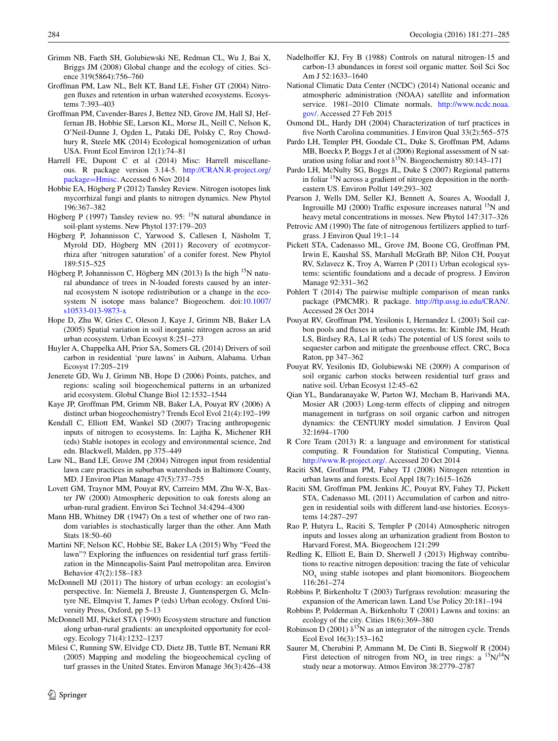- <span id="page-13-0"></span>Grimm NB, Faeth SH, Golubiewski NE, Redman CL, Wu J, Bai X, Briggs JM (2008) Global change and the ecology of cities. Science 319(5864):756–760
- <span id="page-13-38"></span>Groffman PM, Law NL, Belt KT, Band LE, Fisher GT (2004) Nitrogen fluxes and retention in urban watershed ecosystems. Ecosystems 7:393–403
- <span id="page-13-4"></span>Groffman PM, Cavender-Bares J, Bettez ND, Grove JM, Hall SJ, Heffernan JB, Hobbie SE, Larson KL, Morse JL, Neill C, Nelson K, O'Neil-Dunne J, Ogden L, Pataki DE, Polsky C, Roy Chowdhury R, Steele MK (2014) Ecological homogenization of urban USA. Front Ecol Environ 12(1):74–81
- <span id="page-13-22"></span>Harrell FE, Dupont C et al (2014) Misc: Harrell miscellaneous. R package version 3.14-5. [http://CRAN.R-project.org/](http://CRAN.R-project.org/package%3dHmisc) package=Hmisc. Accessed 6 Nov 2014
- <span id="page-13-28"></span>Hob[bie EA, Högberg](http://CRAN.R-project.org/package%3dHmisc) P (2012) Tansley Review. Nitrogen isotopes link mycorrhizal fungi and plants to nitrogen dynamics. New Phytol 196:367–382
- <span id="page-13-11"></span>Högberg P (1997) Tansley review no. 95: <sup>15</sup>N natural abundance in soil-plant systems. New Phytol 137:179–203
- <span id="page-13-29"></span>Högberg P, Johannisson C, Yarwood S, Callesen I, Näsholm T, Myrold DD, Högberg MN (2011) Recovery of ecotmycorrhiza after 'nitrogen saturation' of a conifer forest. New Phytol 189:515–525
- <span id="page-13-30"></span>Högberg P, Johannisson C, Högberg MN (2013) Is the high  $15N$  natural abundance of trees in N-loaded forests caused by an internal ecosystem N isotope redistribution or a change in the ecosystem N isotope mass balance? Biogeochem. doi[:10.1007/](http://dx.doi.org/10.1007/s10533-013-9873-x) [s10533-013-9873-x](http://dx.doi.org/10.1007/s10533-013-9873-x)
- <span id="page-13-34"></span>Hope D, Zhu W, Gries C, Oleson J, Kaye J, Grimm NB, Baker LA (2005) Spatial variation in soil inorganic nitrogen across an arid urban ecosystem. Urban Ecosyst 8:251–273
- <span id="page-13-31"></span>Huyler A, Chappelka AH, Prior SA, Somers GL (2014) Drivers of soil carbon in residential 'pure lawns' in Auburn, Alabama. Urban Ecosyst 17:205–219
- <span id="page-13-27"></span>Jenerete GD, Wu J, Grimm NB, Hope D (2006) Points, patches, and regions: scaling soil biogeochemical patterns in an urbanized arid ecosystem. Global Change Biol 12:1532–1544
- <span id="page-13-26"></span>Kaye JP, Groffman PM, Grimm NB, Baker LA, Pouyat RV (2006) A distinct urban biogeochemistry? Trends Ecol Evol 21(4):192–199
- <span id="page-13-33"></span>Kendall C, Elliott EM, Wankel SD (2007) Tracing anthropogenic inputs of nitrogen to ecosystems. In: Lajtha K, Michener RH (eds) Stable isotopes in ecology and environmental science, 2nd edn. Blackwell, Malden, pp 375–449
- <span id="page-13-10"></span>Law NL, Band LE, Grove JM (2004) Nitrogen input from residential lawn care practices in suburban watersheds in Baltimore County, MD. J Environ Plan Manage 47(5):737–755
- <span id="page-13-24"></span>Lovett GM, Traynor MM, Pouyat RV, Carreiro MM, Zhu W-X, Baxter JW (2000) Atmospheric deposition to oak forests along an urban-rural gradient. Environ Sci Technol 34:4294–4300
- <span id="page-13-20"></span>Mann HB, Whitney DR (1947) On a test of whether one of two random variables is stochastically larger than the other. Ann Math Stats 18:50–60
- <span id="page-13-9"></span>Martini NF, Nelson KC, Hobbie SE, Baker LA (2015) Why "Feed the lawn"? Exploring the influences on residential turf grass fertilization in the Minneapolis-Saint Paul metropolitan area. Environ Behavior 47(2):158–183
- <span id="page-13-1"></span>McDonnell MJ (2011) The history of urban ecology: an ecologist's perspective. In: Niemelä J, Breuste J, Guntenspergen G, McIntyre NE, Elmqvist T, James P (eds) Urban ecology. Oxford University Press, Oxford, pp 5–13
- <span id="page-13-32"></span>McDonnell MJ, Picket STA (1990) Ecosystem structure and function along urban-rural gradients: an unexploited opportunity for ecology. Ecology 71(4):1232–1237
- <span id="page-13-6"></span>Milesi C, Running SW, Elvidge CD, Dietz JB, Tuttle BT, Nemani RR (2005) Mapping and modeling the biogeochemical cycling of turf grasses in the United States. Environ Manage 36(3):426–438
- <span id="page-13-15"></span>Nadelhoffer KJ, Fry B (1988) Controls on natural nitrogen-15 and carbon-13 abundances in forest soil organic matter. Soil Sci Soc Am J 52:1633–1640
- <span id="page-13-19"></span>National Climatic Data Center (NCDC) (2014) National oceanic and atmospheric administration (NOAA) satellite and information service. 1981–2010 Climate normals. [http://www.ncdc.noaa.](http://www.ncdc.noaa.gov/) [gov/](http://www.ncdc.noaa.gov/). Accessed 27 Feb 2015
- <span id="page-13-8"></span>Osmond DL, Hardy DH (2004) Characterization of turf practices in five North Carolina communities. J Environ Qual 33(2):565–575
- <span id="page-13-13"></span>Pardo LH, Templer PH, Goodale CL, Duke S, Groffman PM, Adams MB, Boeckx P, Boggs J et al (2006) Regional assessment of N saturation using foliar and root  $\delta^{15}N$ . Biogeochemistry 80:143–171
- <span id="page-13-14"></span>Pardo LH, McNulty SG, Boggs JL, Duke S (2007) Regional patterns in foliar  $15N$  across a gradient of nitrogen deposition in the northeastern US. Environ Pollut 149:293–302
- <span id="page-13-16"></span>Pearson J, Wells DM, Seller KJ, Bennett A, Soares A, Woodall J, Ingrouille MJ (2000) Traffic exposure increases natural  $^{15}N$  and heavy metal concentrations in mosses. New Phytol 147:317–326
- <span id="page-13-37"></span>Petrovic AM (1990) The fate of nitrogenous fertilizers applied to turfgrass. J Environ Qual 19:1–14
- <span id="page-13-2"></span>Pickett STA, Cadenasso ML, Grove JM, Boone CG, Groffman PM, Irwin E, Kaushal SS, Marshall McGrath BP, Nilon CH, Pouyat RV, Szlavecz K, Troy A, Warren P (2011) Urban ecological systems: scientific foundations and a decade of progress. J Environ Manage 92:331–362
- <span id="page-13-21"></span>Pohlert T (2014) The pairwise multiple comparison of mean ranks package (PMCMR). R package. <http://ftp.ussg.iu.edu/CRAN/>. Accessed 28 Oct 2014
- <span id="page-13-3"></span>Pouyat RV, Groffman PM, Yesilonis I, Hernandez L (2003) Soil carbon pools and fluxes in urban ecosystems. In: Kimble JM, Heath LS, Birdsey RA, Lal R (eds) The potential of US forest soils to sequester carbon and mitigate the greenhouse effect. CRC, Boca Raton, pp 347–362
- <span id="page-13-39"></span>Pouyat RV, Yesilonis ID, Golubiewski NE (2009) A comparison of soil organic carbon stocks between residential turf grass and native soil. Urban Ecosyst 12:45–62
- <span id="page-13-36"></span>Qian YL, Bandaranayake W, Parton WJ, Mecham B, Harivandi MA, Mosier AR (2003) Long-term effects of clipping and nitrogen management in turfgrass on soil organic carbon and nitrogen dynamics: the CENTURY model simulation. J Environ Qual 32:1694–1700
- <span id="page-13-23"></span>R Core Team (2013) R: a language and environment for statistical computing. R Foundation for Statistical Computing, Vienna. <http://www.R-project.org/>. Accessed 20 Oct 2014
- <span id="page-13-40"></span>Raciti SM, Groffman PM, Fahey TJ (2008) Nitrogen retention in urban lawns and forests. Ecol Appl 18(7):1615–1626
- <span id="page-13-35"></span>Raciti SM, Groffman PM, Jenkins JC, Pouyat RV, Fahey TJ, Pickett STA, Cadenasso ML (2011) Accumulation of carbon and nitrogen in residential soils with different land-use histories. Ecosystems 14:287–297
- <span id="page-13-25"></span>Rao P, Hutyra L, Raciti S, Templer P (2014) Atmospheric nitrogen inputs and losses along an urbanization gradient from Boston to Harvard Forest, MA. Biogeochem 121:299
- <span id="page-13-18"></span>Redling K, Elliott E, Bain D, Sherwell J (2013) Highway contributions to reactive nitrogen deposition: tracing the fate of vehicular  $NO<sub>x</sub>$  using stable isotopes and plant biomonitors. Biogeochem 116:261–274
- <span id="page-13-5"></span>Robbins P, Birkenholtz T (2003) Turfgrass revolution: measuring the expansion of the American lawn. Land Use Policy 20:181–194
- <span id="page-13-7"></span>Robbins P, Polderman A, Birkenholtz T (2001) Lawns and toxins: an ecology of the city. Cities 18(6):369–380
- <span id="page-13-12"></span>Robinson D (2001)  $\delta^{15}N$  as an integrator of the nitrogen cycle. Trends Ecol Evol 16(3):153–162
- <span id="page-13-17"></span>Saurer M, Cherubini P, Ammann M, De Cinti B, Siegwolf R (2004) First detection of nitrogen from  $NO_x$  in tree rings: a  $^{15}N/^{14}N$ study near a motorway. Atmos Environ 38:2779–2787